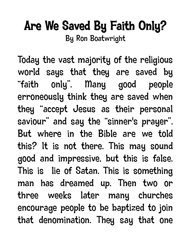## Are We Saved By Faith Only?

By Ron Boatwright

Today the vast majority of the religious world says that they are saved by "faith only". Many good people erroneously think they are saved when they "accept Jesus as their personal saviour" and say the "sinner's prayer". But where in the Bible are we told this? It is not there. This may sound good and impressive, but this is false. This is lie of Satan. This is something man has dreamed up. Then two or three weeks later many churches encourage people to be baptized to join that denomination. They say that one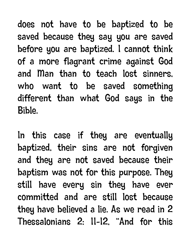does not have to be baptized to be saved because they say you are saved before you are baptized. I cannot think of a more flagrant crime against God and Man than to teach lost sinners, who want to be saved something different than what God says in the Bible.

In this case if they are eventually baptized, their sins are not forgiven and they are not saved because their baptism was not for this purpose. They still have every sin they have ever committed and are still lost because they have believed a lie. As we read in 2 Thessalonians 2: 11-12, "And for this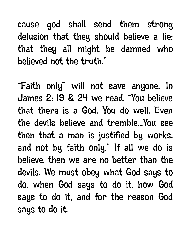cause god shall send them strong delusion that they should believe a lie: that they all might be damned who believed not the truth."

"Faith only" will not save anyone. In James 2: 19 & 24 we read, "You believe that there is a God. You do well. Even the devils believe and tremble...You see then that a man is justified by works, and not by faith only." If all we do is believe, then we are no better than the devils. We must obey what God says to do, when God says to do it, how God says to do it, and for the reason God says to do it.